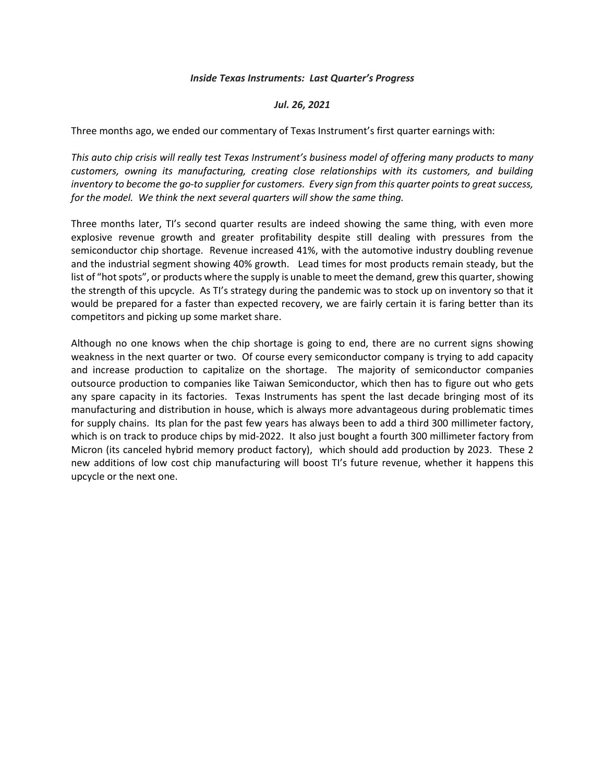## *Inside Texas Instruments: Last Quarter's Progress*

## *Jul. 26, 2021*

Three months ago, we ended our commentary of Texas Instrument's first quarter earnings with:

*This auto chip crisis will really test Texas Instrument's business model of offering many products to many customers, owning its manufacturing, creating close relationships with its customers, and building inventory to become the go-to supplier for customers. Every sign from this quarter points to great success, for the model. We think the next several quarters will show the same thing.* 

Three months later, TI's second quarter results are indeed showing the same thing, with even more explosive revenue growth and greater profitability despite still dealing with pressures from the semiconductor chip shortage. Revenue increased 41%, with the automotive industry doubling revenue and the industrial segment showing 40% growth. Lead times for most products remain steady, but the list of "hot spots", or products where the supply is unable to meet the demand, grew this quarter, showing the strength of this upcycle. As TI's strategy during the pandemic was to stock up on inventory so that it would be prepared for a faster than expected recovery, we are fairly certain it is faring better than its competitors and picking up some market share.

Although no one knows when the chip shortage is going to end, there are no current signs showing weakness in the next quarter or two. Of course every semiconductor company is trying to add capacity and increase production to capitalize on the shortage. The majority of semiconductor companies outsource production to companies like Taiwan Semiconductor, which then has to figure out who gets any spare capacity in its factories. Texas Instruments has spent the last decade bringing most of its manufacturing and distribution in house, which is always more advantageous during problematic times for supply chains. Its plan for the past few years has always been to add a third 300 millimeter factory, which is on track to produce chips by mid-2022. It also just bought a fourth 300 millimeter factory from Micron (its canceled hybrid memory product factory), which should add production by 2023. These 2 new additions of low cost chip manufacturing will boost TI's future revenue, whether it happens this upcycle or the next one.